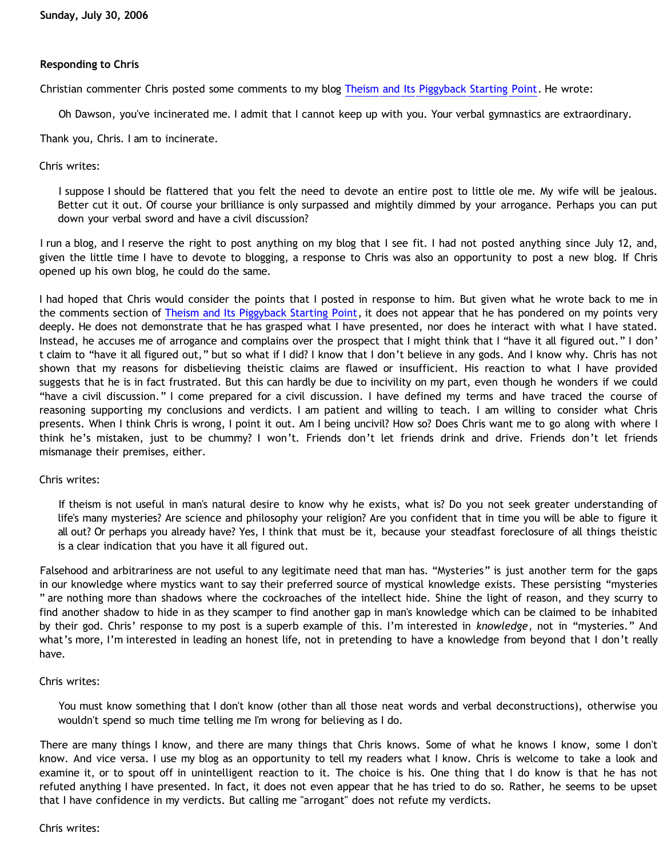### **Responding to Chris**

Christian commenter Chris posted some comments to my blog [Theism and Its Piggyback Starting Point.](http://bahnsenburner.blogspot.com/2006/07/theism-and-its-piggyback-starting.html) He wrote:

Oh Dawson, you've incinerated me. I admit that I cannot keep up with you. Your verbal gymnastics are extraordinary.

Thank you, Chris. I am to incinerate.

#### Chris writes:

I suppose I should be flattered that you felt the need to devote an entire post to little ole me. My wife will be jealous. Better cut it out. Of course your brilliance is only surpassed and mightily dimmed by your arrogance. Perhaps you can put down your verbal sword and have a civil discussion?

I run a blog, and I reserve the right to post anything on my blog that I see fit. I had not posted anything since July 12, and, given the little time I have to devote to blogging, a response to Chris was also an opportunity to post a new blog. If Chris opened up his own blog, he could do the same.

I had hoped that Chris would consider the points that I posted in response to him. But given what he wrote back to me in the comments section of [Theism and Its Piggyback Starting Point,](http://bahnsenburner.blogspot.com/2006/07/theism-and-its-piggyback-starting.html) it does not appear that he has pondered on my points very deeply. He does not demonstrate that he has grasped what I have presented, nor does he interact with what I have stated. Instead, he accuses me of arrogance and complains over the prospect that I might think that I "have it all figured out." I don' t claim to "have it all figured out," but so what if I did? I know that I don't believe in any gods. And I know why. Chris has not shown that my reasons for disbelieving theistic claims are flawed or insufficient. His reaction to what I have provided suggests that he is in fact frustrated. But this can hardly be due to incivility on my part, even though he wonders if we could "have a civil discussion." I come prepared for a civil discussion. I have defined my terms and have traced the course of reasoning supporting my conclusions and verdicts. I am patient and willing to teach. I am willing to consider what Chris presents. When I think Chris is wrong, I point it out. Am I being uncivil? How so? Does Chris want me to go along with where I think he's mistaken, just to be chummy? I won't. Friends don't let friends drink and drive. Friends don't let friends mismanage their premises, either.

#### Chris writes:

If theism is not useful in man's natural desire to know why he exists, what is? Do you not seek greater understanding of life's many mysteries? Are science and philosophy your religion? Are you confident that in time you will be able to figure it all out? Or perhaps you already have? Yes, I think that must be it, because your steadfast foreclosure of all things theistic is a clear indication that you have it all figured out.

Falsehood and arbitrariness are not useful to any legitimate need that man has. "Mysteries" is just another term for the gaps in our knowledge where mystics want to say their preferred source of mystical knowledge exists. These persisting "mysteries " are nothing more than shadows where the cockroaches of the intellect hide. Shine the light of reason, and they scurry to find another shadow to hide in as they scamper to find another gap in man's knowledge which can be claimed to be inhabited by their god. Chris' response to my post is a superb example of this. I'm interested in *knowledge*, not in "mysteries." And what's more, I'm interested in leading an honest life, not in pretending to have a knowledge from beyond that I don't really have.

#### Chris writes:

You must know something that I don't know (other than all those neat words and verbal deconstructions), otherwise you wouldn't spend so much time telling me I'm wrong for believing as I do.

There are many things I know, and there are many things that Chris knows. Some of what he knows I know, some I don't know. And vice versa. I use my blog as an opportunity to tell my readers what I know. Chris is welcome to take a look and examine it, or to spout off in unintelligent reaction to it. The choice is his. One thing that I do know is that he has not refuted anything I have presented. In fact, it does not even appear that he has tried to do so. Rather, he seems to be upset that I have confidence in my verdicts. But calling me "arrogant" does not refute my verdicts.

Chris writes: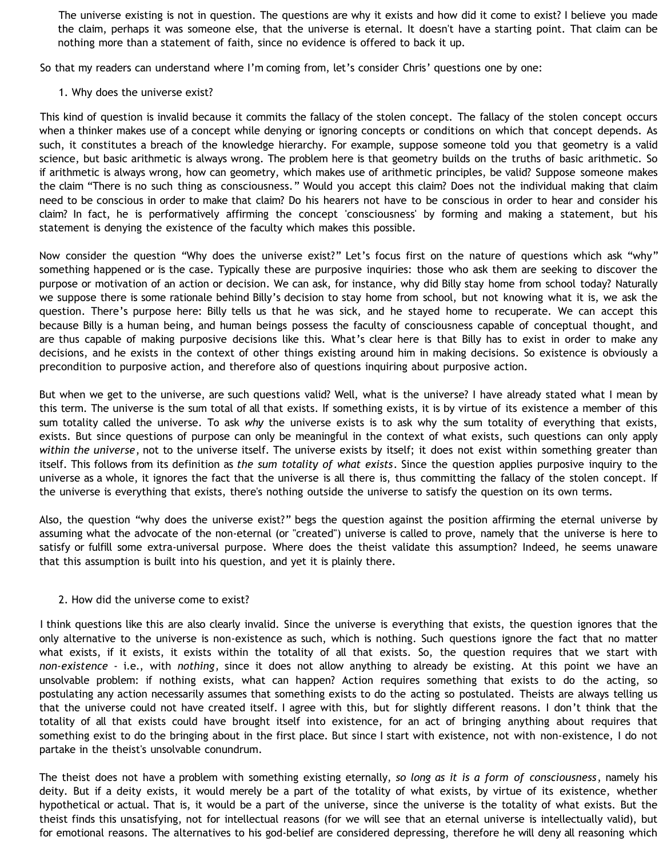The universe existing is not in question. The questions are why it exists and how did it come to exist? I believe you made the claim, perhaps it was someone else, that the universe is eternal. It doesn't have a starting point. That claim can be nothing more than a statement of faith, since no evidence is offered to back it up.

So that my readers can understand where I'm coming from, let's consider Chris' questions one by one:

#### 1. Why does the universe exist?

This kind of question is invalid because it commits the fallacy of the stolen concept. The fallacy of the stolen concept occurs when a thinker makes use of a concept while denying or ignoring concepts or conditions on which that concept depends. As such, it constitutes a breach of the knowledge hierarchy. For example, suppose someone told you that geometry is a valid science, but basic arithmetic is always wrong. The problem here is that geometry builds on the truths of basic arithmetic. So if arithmetic is always wrong, how can geometry, which makes use of arithmetic principles, be valid? Suppose someone makes the claim "There is no such thing as consciousness." Would you accept this claim? Does not the individual making that claim need to be conscious in order to make that claim? Do his hearers not have to be conscious in order to hear and consider his claim? In fact, he is performatively affirming the concept 'consciousness' by forming and making a statement, but his statement is denying the existence of the faculty which makes this possible.

Now consider the question "Why does the universe exist?" Let's focus first on the nature of questions which ask "why" something happened or is the case. Typically these are purposive inquiries: those who ask them are seeking to discover the purpose or motivation of an action or decision. We can ask, for instance, why did Billy stay home from school today? Naturally we suppose there is some rationale behind Billy's decision to stay home from school, but not knowing what it is, we ask the question. There's purpose here: Billy tells us that he was sick, and he stayed home to recuperate. We can accept this because Billy is a human being, and human beings possess the faculty of consciousness capable of conceptual thought, and are thus capable of making purposive decisions like this. What's clear here is that Billy has to exist in order to make any decisions, and he exists in the context of other things existing around him in making decisions. So existence is obviously a precondition to purposive action, and therefore also of questions inquiring about purposive action.

But when we get to the universe, are such questions valid? Well, what is the universe? I have already stated what I mean by this term. The universe is the sum total of all that exists. If something exists, it is by virtue of its existence a member of this sum totality called the universe. To ask *why* the universe exists is to ask why the sum totality of everything that exists, exists. But since questions of purpose can only be meaningful in the context of what exists, such questions can only apply *within the universe*, not to the universe itself. The universe exists by itself; it does not exist within something greater than itself. This follows from its definition as *the sum totality of what exists*. Since the question applies purposive inquiry to the universe as a whole, it ignores the fact that the universe is all there is, thus committing the fallacy of the stolen concept. If the universe is everything that exists, there's nothing outside the universe to satisfy the question on its own terms.

Also, the question "why does the universe exist?" begs the question against the position affirming the eternal universe by assuming what the advocate of the non-eternal (or "created") universe is called to prove, namely that the universe is here to satisfy or fulfill some extra-universal purpose. Where does the theist validate this assumption? Indeed, he seems unaware that this assumption is built into his question, and yet it is plainly there.

#### 2. How did the universe come to exist?

I think questions like this are also clearly invalid. Since the universe is everything that exists, the question ignores that the only alternative to the universe is non-existence as such, which is nothing. Such questions ignore the fact that no matter what exists, if it exists, it exists within the totality of all that exists. So, the question requires that we start with *non-existence* - i.e., with *nothing*, since it does not allow anything to already be existing. At this point we have an unsolvable problem: if nothing exists, what can happen? Action requires something that exists to do the acting, so postulating any action necessarily assumes that something exists to do the acting so postulated. Theists are always telling us that the universe could not have created itself. I agree with this, but for slightly different reasons. I don't think that the totality of all that exists could have brought itself into existence, for an act of bringing anything about requires that something exist to do the bringing about in the first place. But since I start with existence, not with non-existence, I do not partake in the theist's unsolvable conundrum.

The theist does not have a problem with something existing eternally, *so long as it is a form of consciousness*, namely his deity. But if a deity exists, it would merely be a part of the totality of what exists, by virtue of its existence, whether hypothetical or actual. That is, it would be a part of the universe, since the universe is the totality of what exists. But the theist finds this unsatisfying, not for intellectual reasons (for we will see that an eternal universe is intellectually valid), but for emotional reasons. The alternatives to his god-belief are considered depressing, therefore he will deny all reasoning which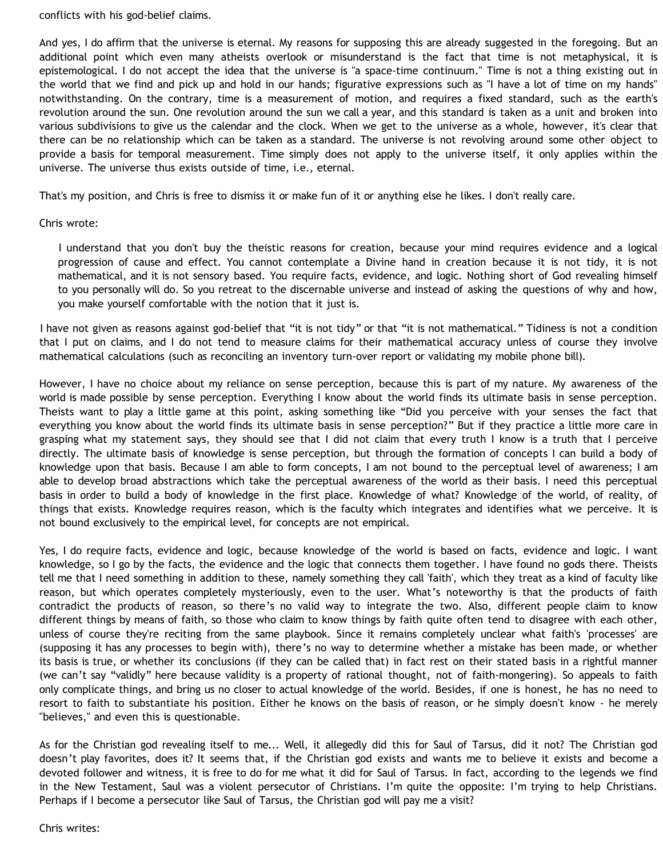conflicts with his god-belief claims.

And yes, I do affirm that the universe is eternal. My reasons for supposing this are already suggested in the foregoing. But an additional point which even many atheists overlook or misunderstand is the fact that time is not metaphysical, it is epistemological. I do not accept the idea that the universe is "a space-time continuum." Time is not a thing existing out in the world that we find and pick up and hold in our hands; figurative expressions such as "I have a lot of time on my hands" notwithstanding. On the contrary, time is a measurement of motion, and requires a fixed standard, such as the earth's revolution around the sun. One revolution around the sun we call a year, and this standard is taken as a unit and broken into various subdivisions to give us the calendar and the clock. When we get to the universe as a whole, however, it's clear that there can be no relationship which can be taken as a standard. The universe is not revolving around some other object to provide a basis for temporal measurement. Time simply does not apply to the universe itself, it only applies within the universe. The universe thus exists outside of time, i.e., eternal.

That's my position, and Chris is free to dismiss it or make fun of it or anything else he likes. I don't really care.

#### Chris wrote:

I understand that you don't buy the theistic reasons for creation, because your mind requires evidence and a logical progression of cause and effect. You cannot contemplate a Divine hand in creation because it is not tidy, it is not mathematical, and it is not sensory based. You require facts, evidence, and logic. Nothing short of God revealing himself to you personally will do. So you retreat to the discernable universe and instead of asking the questions of why and how, you make yourself comfortable with the notion that it just is.

I have not given as reasons against god-belief that "it is not tidy" or that "it is not mathematical." Tidiness is not a condition that I put on claims, and I do not tend to measure claims for their mathematical accuracy unless of course they involve mathematical calculations (such as reconciling an inventory turn-over report or validating my mobile phone bill).

However, I have no choice about my reliance on sense perception, because this is part of my nature. My awareness of the world is made possible by sense perception. Everything I know about the world finds its ultimate basis in sense perception. Theists want to play a little game at this point, asking something like "Did you perceive with your senses the fact that everything you know about the world finds its ultimate basis in sense perception?" But if they practice a little more care in grasping what my statement says, they should see that I did not claim that every truth I know is a truth that I perceive directly. The ultimate basis of knowledge is sense perception, but through the formation of concepts I can build a body of knowledge upon that basis. Because I am able to form concepts, I am not bound to the perceptual level of awareness; I am able to develop broad abstractions which take the perceptual awareness of the world as their basis. I need this perceptual basis in order to build a body of knowledge in the first place. Knowledge of what? Knowledge of the world, of reality, of things that exists. Knowledge requires reason, which is the faculty which integrates and identifies what we perceive. It is not bound exclusively to the empirical level, for concepts are not empirical.

Yes, I do require facts, evidence and logic, because knowledge of the world is based on facts, evidence and logic. I want knowledge, so I go by the facts, the evidence and the logic that connects them together. I have found no gods there. Theists tell me that I need something in addition to these, namely something they call 'faith', which they treat as a kind of faculty like reason, but which operates completely mysteriously, even to the user. What's noteworthy is that the products of faith contradict the products of reason, so there's no valid way to integrate the two. Also, different people claim to know different things by means of faith, so those who claim to know things by faith quite often tend to disagree with each other, unless of course they're reciting from the same playbook. Since it remains completely unclear what faith's 'processes' are (supposing it has any processes to begin with), there's no way to determine whether a mistake has been made, or whether its basis is true, or whether its conclusions (if they can be called that) in fact rest on their stated basis in a rightful manner (we can't say "validly" here because validity is a property of rational thought, not of faith-mongering). So appeals to faith only complicate things, and bring us no closer to actual knowledge of the world. Besides, if one is honest, he has no need to resort to faith to substantiate his position. Either he knows on the basis of reason, or he simply doesn't know - he merely "believes," and even this is questionable.

As for the Christian god revealing itself to me... Well, it allegedly did this for Saul of Tarsus, did it not? The Christian god doesn't play favorites, does it? It seems that, if the Christian god exists and wants me to believe it exists and become a devoted follower and witness, it is free to do for me what it did for Saul of Tarsus. In fact, according to the legends we find in the New Testament, Saul was a violent persecutor of Christians. I'm quite the opposite: I'm trying to help Christians. Perhaps if I become a persecutor like Saul of Tarsus, the Christian god will pay me a visit?

Chris writes: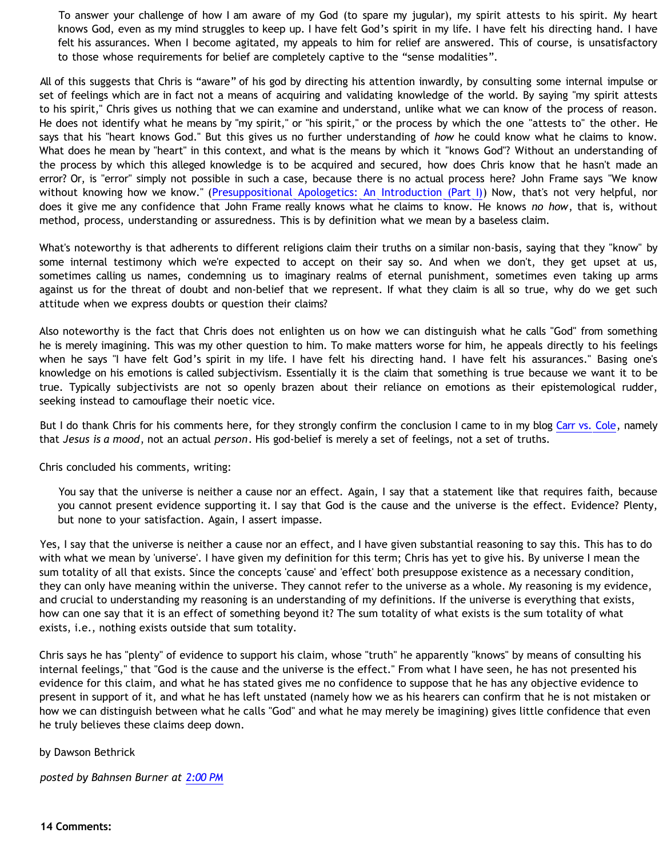To answer your challenge of how I am aware of my God (to spare my jugular), my spirit attests to his spirit. My heart knows God, even as my mind struggles to keep up. I have felt God's spirit in my life. I have felt his directing hand. I have felt his assurances. When I become agitated, my appeals to him for relief are answered. This of course, is unsatisfactory to those whose requirements for belief are completely captive to the "sense modalities".

All of this suggests that Chris is "aware" of his god by directing his attention inwardly, by consulting some internal impulse or set of feelings which are in fact not a means of acquiring and validating knowledge of the world. By saying "my spirit attests to his spirit," Chris gives us nothing that we can examine and understand, unlike what we can know of the process of reason. He does not identify what he means by "my spirit," or "his spirit," or the process by which the one "attests to" the other. He says that his "heart knows God." But this gives us no further understanding of *how* he could know what he claims to know. What does he mean by "heart" in this context, and what is the means by which it "knows God"? Without an understanding of the process by which this alleged knowledge is to be acquired and secured, how does Chris know that he hasn't made an error? Or, is "error" simply not possible in such a case, because there is no actual process here? John Frame says "We know without knowing how we know." ([Presuppositional Apologetics: An Introduction \(Part I\)](http://www.thirdmill.org/files/english/html/pt/PT.h.Frame.Presupp.Apol.1.html)) Now, that's not very helpful, nor does it give me any confidence that John Frame really knows what he claims to know. He knows *no how*, that is, without method, process, understanding or assuredness. This is by definition what we mean by a baseless claim.

What's noteworthy is that adherents to different religions claim their truths on a similar non-basis, saying that they "know" by some internal testimony which we're expected to accept on their say so. And when we don't, they get upset at us, sometimes calling us names, condemning us to imaginary realms of eternal punishment, sometimes even taking up arms against us for the threat of doubt and non-belief that we represent. If what they claim is all so true, why do we get such attitude when we express doubts or question their claims?

Also noteworthy is the fact that Chris does not enlighten us on how we can distinguish what he calls "God" from something he is merely imagining. This was my other question to him. To make matters worse for him, he appeals directly to his feelings when he says "I have felt God's spirit in my life. I have felt his directing hand. I have felt his assurances." Basing one's knowledge on his emotions is called subjectivism. Essentially it is the claim that something is true because we want it to be true. Typically subjectivists are not so openly brazen about their reliance on emotions as their epistemological rudder, seeking instead to camouflage their noetic vice.

But I do thank Chris for his comments here, for they strongly confirm the conclusion I came to in my blog [Carr vs. Cole,](http://bahnsenburner.blogspot.com/2006/06/carr-vs-cole.html) namely that *Jesus is a mood*, not an actual *person*. His god-belief is merely a set of feelings, not a set of truths.

Chris concluded his comments, writing:

You say that the universe is neither a cause nor an effect. Again, I say that a statement like that requires faith, because you cannot present evidence supporting it. I say that God is the cause and the universe is the effect. Evidence? Plenty, but none to your satisfaction. Again, I assert impasse.

Yes, I say that the universe is neither a cause nor an effect, and I have given substantial reasoning to say this. This has to do with what we mean by 'universe'. I have given my definition for this term; Chris has yet to give his. By universe I mean the sum totality of all that exists. Since the concepts 'cause' and 'effect' both presuppose existence as a necessary condition, they can only have meaning within the universe. They cannot refer to the universe as a whole. My reasoning is my evidence, and crucial to understanding my reasoning is an understanding of my definitions. If the universe is everything that exists, how can one say that it is an effect of something beyond it? The sum totality of what exists is the sum totality of what exists, i.e., nothing exists outside that sum totality.

Chris says he has "plenty" of evidence to support his claim, whose "truth" he apparently "knows" by means of consulting his internal feelings," that "God is the cause and the universe is the effect." From what I have seen, he has not presented his evidence for this claim, and what he has stated gives me no confidence to suppose that he has any objective evidence to present in support of it, and what he has left unstated (namely how we as his hearers can confirm that he is not mistaken or how we can distinguish between what he calls "God" and what he may merely be imagining) gives little confidence that even he truly believes these claims deep down.

by Dawson Bethrick

*posted by Bahnsen Burner at [2:00 PM](http://bahnsenburner.blogspot.com/2006/07/responding-to-chris.html)*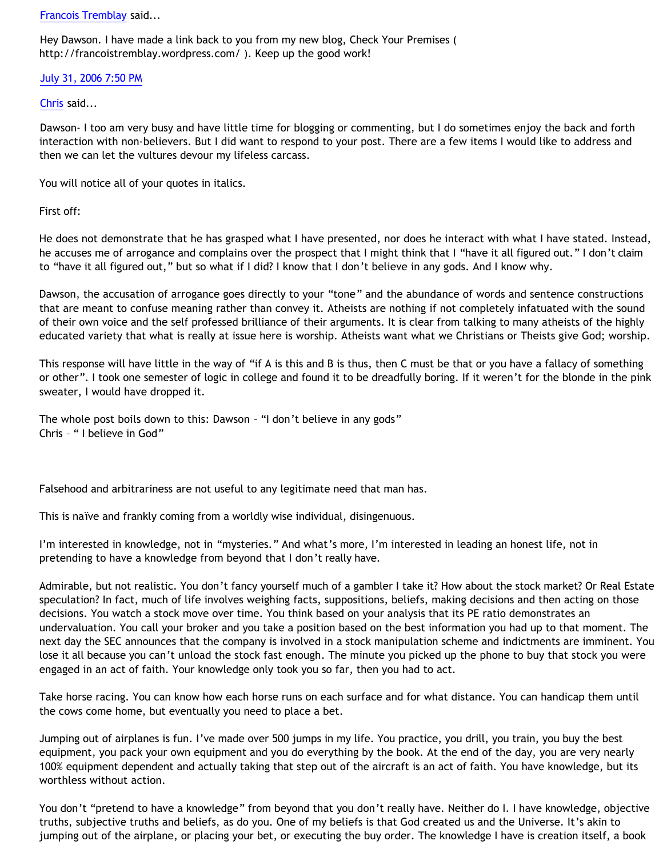### [Francois Tremblay](http://www.blogger.com/profile/7715861) said...

Hey Dawson. I have made a link back to you from my new blog, Check Your Premises ( [http://francoistremblay.wordpress.com/](http://francoistremblay.wordpress.com/ ) ). Keep up the good work!

# [July 31, 2006 7:50 PM](http://bahnsenburner.blogspot.com/2006/07/115440065826726510)

### [Chris](http://www.blogger.com/profile/17796086) said...

Dawson- I too am very busy and have little time for blogging or commenting, but I do sometimes enjoy the back and forth interaction with non-believers. But I did want to respond to your post. There are a few items I would like to address and then we can let the vultures devour my lifeless carcass.

You will notice all of your quotes in italics.

First off:

He does not demonstrate that he has grasped what I have presented, nor does he interact with what I have stated. Instead, he accuses me of arrogance and complains over the prospect that I might think that I "have it all figured out." I don't claim to "have it all figured out," but so what if I did? I know that I don't believe in any gods. And I know why.

Dawson, the accusation of arrogance goes directly to your "tone" and the abundance of words and sentence constructions that are meant to confuse meaning rather than convey it. Atheists are nothing if not completely infatuated with the sound of their own voice and the self professed brilliance of their arguments. It is clear from talking to many atheists of the highly educated variety that what is really at issue here is worship. Atheists want what we Christians or Theists give God; worship.

This response will have little in the way of "if A is this and B is thus, then C must be that or you have a fallacy of something or other". I took one semester of logic in college and found it to be dreadfully boring. If it weren't for the blonde in the pink sweater, I would have dropped it.

The whole post boils down to this: Dawson – "I don't believe in any gods" Chris – " I believe in God"

Falsehood and arbitrariness are not useful to any legitimate need that man has.

This is naïve and frankly coming from a worldly wise individual, disingenuous.

I'm interested in knowledge, not in "mysteries." And what's more, I'm interested in leading an honest life, not in pretending to have a knowledge from beyond that I don't really have.

Admirable, but not realistic. You don't fancy yourself much of a gambler I take it? How about the stock market? Or Real Estate speculation? In fact, much of life involves weighing facts, suppositions, beliefs, making decisions and then acting on those decisions. You watch a stock move over time. You think based on your analysis that its PE ratio demonstrates an undervaluation. You call your broker and you take a position based on the best information you had up to that moment. The next day the SEC announces that the company is involved in a stock manipulation scheme and indictments are imminent. You lose it all because you can't unload the stock fast enough. The minute you picked up the phone to buy that stock you were engaged in an act of faith. Your knowledge only took you so far, then you had to act.

Take horse racing. You can know how each horse runs on each surface and for what distance. You can handicap them until the cows come home, but eventually you need to place a bet.

Jumping out of airplanes is fun. I've made over 500 jumps in my life. You practice, you drill, you train, you buy the best equipment, you pack your own equipment and you do everything by the book. At the end of the day, you are very nearly 100% equipment dependent and actually taking that step out of the aircraft is an act of faith. You have knowledge, but its worthless without action.

You don't "pretend to have a knowledge" from beyond that you don't really have. Neither do I. I have knowledge, objective truths, subjective truths and beliefs, as do you. One of my beliefs is that God created us and the Universe. It's akin to jumping out of the airplane, or placing your bet, or executing the buy order. The knowledge I have is creation itself, a book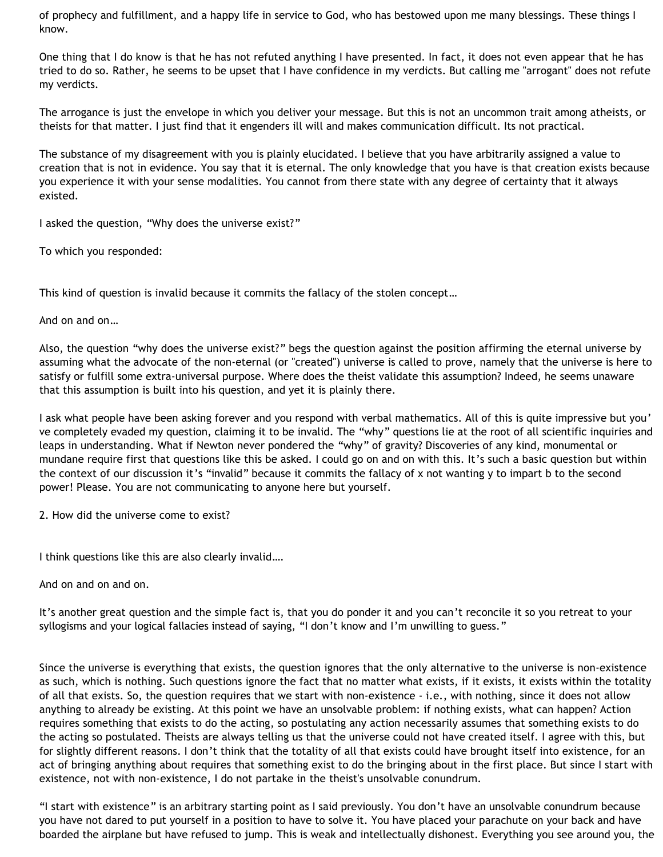of prophecy and fulfillment, and a happy life in service to God, who has bestowed upon me many blessings. These things I know.

One thing that I do know is that he has not refuted anything I have presented. In fact, it does not even appear that he has tried to do so. Rather, he seems to be upset that I have confidence in my verdicts. But calling me "arrogant" does not refute my verdicts.

The arrogance is just the envelope in which you deliver your message. But this is not an uncommon trait among atheists, or theists for that matter. I just find that it engenders ill will and makes communication difficult. Its not practical.

The substance of my disagreement with you is plainly elucidated. I believe that you have arbitrarily assigned a value to creation that is not in evidence. You say that it is eternal. The only knowledge that you have is that creation exists because you experience it with your sense modalities. You cannot from there state with any degree of certainty that it always existed.

I asked the question, "Why does the universe exist?"

To which you responded:

This kind of question is invalid because it commits the fallacy of the stolen concept…

And on and on…

Also, the question "why does the universe exist?" begs the question against the position affirming the eternal universe by assuming what the advocate of the non-eternal (or "created") universe is called to prove, namely that the universe is here to satisfy or fulfill some extra-universal purpose. Where does the theist validate this assumption? Indeed, he seems unaware that this assumption is built into his question, and yet it is plainly there.

I ask what people have been asking forever and you respond with verbal mathematics. All of this is quite impressive but you' ve completely evaded my question, claiming it to be invalid. The "why" questions lie at the root of all scientific inquiries and leaps in understanding. What if Newton never pondered the "why" of gravity? Discoveries of any kind, monumental or mundane require first that questions like this be asked. I could go on and on with this. It's such a basic question but within the context of our discussion it's "invalid" because it commits the fallacy of x not wanting y to impart b to the second power! Please. You are not communicating to anyone here but yourself.

2. How did the universe come to exist?

I think questions like this are also clearly invalid….

And on and on and on.

It's another great question and the simple fact is, that you do ponder it and you can't reconcile it so you retreat to your syllogisms and your logical fallacies instead of saying, "I don't know and I'm unwilling to guess."

Since the universe is everything that exists, the question ignores that the only alternative to the universe is non-existence as such, which is nothing. Such questions ignore the fact that no matter what exists, if it exists, it exists within the totality of all that exists. So, the question requires that we start with non-existence - i.e., with nothing, since it does not allow anything to already be existing. At this point we have an unsolvable problem: if nothing exists, what can happen? Action requires something that exists to do the acting, so postulating any action necessarily assumes that something exists to do the acting so postulated. Theists are always telling us that the universe could not have created itself. I agree with this, but for slightly different reasons. I don't think that the totality of all that exists could have brought itself into existence, for an act of bringing anything about requires that something exist to do the bringing about in the first place. But since I start with existence, not with non-existence, I do not partake in the theist's unsolvable conundrum.

"I start with existence" is an arbitrary starting point as I said previously. You don't have an unsolvable conundrum because you have not dared to put yourself in a position to have to solve it. You have placed your parachute on your back and have boarded the airplane but have refused to jump. This is weak and intellectually dishonest. Everything you see around you, the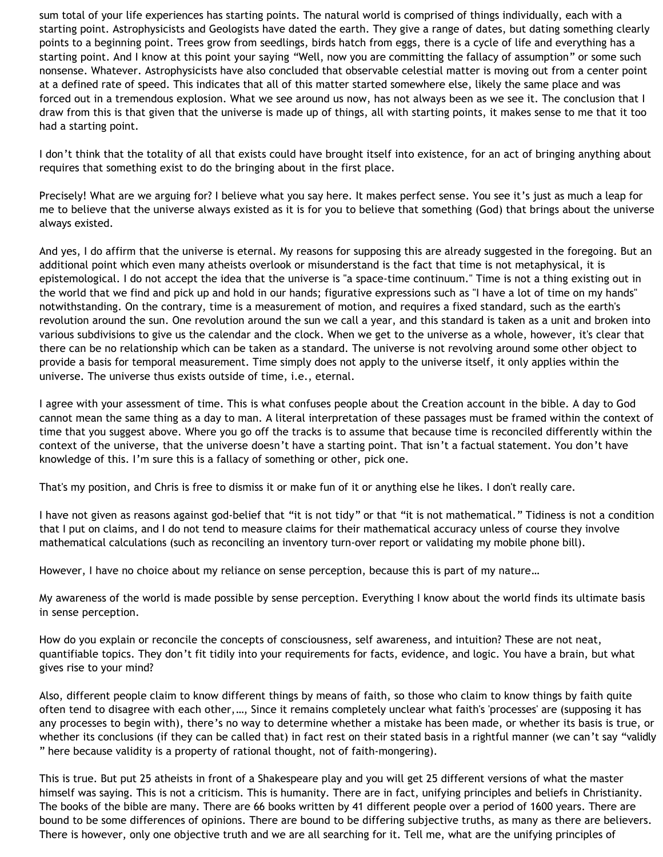sum total of your life experiences has starting points. The natural world is comprised of things individually, each with a starting point. Astrophysicists and Geologists have dated the earth. They give a range of dates, but dating something clearly points to a beginning point. Trees grow from seedlings, birds hatch from eggs, there is a cycle of life and everything has a starting point. And I know at this point your saying "Well, now you are committing the fallacy of assumption" or some such nonsense. Whatever. Astrophysicists have also concluded that observable celestial matter is moving out from a center point at a defined rate of speed. This indicates that all of this matter started somewhere else, likely the same place and was forced out in a tremendous explosion. What we see around us now, has not always been as we see it. The conclusion that I draw from this is that given that the universe is made up of things, all with starting points, it makes sense to me that it too had a starting point.

I don't think that the totality of all that exists could have brought itself into existence, for an act of bringing anything about requires that something exist to do the bringing about in the first place.

Precisely! What are we arguing for? I believe what you say here. It makes perfect sense. You see it's just as much a leap for me to believe that the universe always existed as it is for you to believe that something (God) that brings about the universe always existed.

And yes, I do affirm that the universe is eternal. My reasons for supposing this are already suggested in the foregoing. But an additional point which even many atheists overlook or misunderstand is the fact that time is not metaphysical, it is epistemological. I do not accept the idea that the universe is "a space-time continuum." Time is not a thing existing out in the world that we find and pick up and hold in our hands; figurative expressions such as "I have a lot of time on my hands" notwithstanding. On the contrary, time is a measurement of motion, and requires a fixed standard, such as the earth's revolution around the sun. One revolution around the sun we call a year, and this standard is taken as a unit and broken into various subdivisions to give us the calendar and the clock. When we get to the universe as a whole, however, it's clear that there can be no relationship which can be taken as a standard. The universe is not revolving around some other object to provide a basis for temporal measurement. Time simply does not apply to the universe itself, it only applies within the universe. The universe thus exists outside of time, i.e., eternal.

I agree with your assessment of time. This is what confuses people about the Creation account in the bible. A day to God cannot mean the same thing as a day to man. A literal interpretation of these passages must be framed within the context of time that you suggest above. Where you go off the tracks is to assume that because time is reconciled differently within the context of the universe, that the universe doesn't have a starting point. That isn't a factual statement. You don't have knowledge of this. I'm sure this is a fallacy of something or other, pick one.

That's my position, and Chris is free to dismiss it or make fun of it or anything else he likes. I don't really care.

I have not given as reasons against god-belief that "it is not tidy" or that "it is not mathematical." Tidiness is not a condition that I put on claims, and I do not tend to measure claims for their mathematical accuracy unless of course they involve mathematical calculations (such as reconciling an inventory turn-over report or validating my mobile phone bill).

However, I have no choice about my reliance on sense perception, because this is part of my nature…

My awareness of the world is made possible by sense perception. Everything I know about the world finds its ultimate basis in sense perception.

How do you explain or reconcile the concepts of consciousness, self awareness, and intuition? These are not neat, quantifiable topics. They don't fit tidily into your requirements for facts, evidence, and logic. You have a brain, but what gives rise to your mind?

Also, different people claim to know different things by means of faith, so those who claim to know things by faith quite often tend to disagree with each other,…, Since it remains completely unclear what faith's 'processes' are (supposing it has any processes to begin with), there's no way to determine whether a mistake has been made, or whether its basis is true, or whether its conclusions (if they can be called that) in fact rest on their stated basis in a rightful manner (we can't say "validly " here because validity is a property of rational thought, not of faith-mongering).

This is true. But put 25 atheists in front of a Shakespeare play and you will get 25 different versions of what the master himself was saying. This is not a criticism. This is humanity. There are in fact, unifying principles and beliefs in Christianity. The books of the bible are many. There are 66 books written by 41 different people over a period of 1600 years. There are bound to be some differences of opinions. There are bound to be differing subjective truths, as many as there are believers. There is however, only one objective truth and we are all searching for it. Tell me, what are the unifying principles of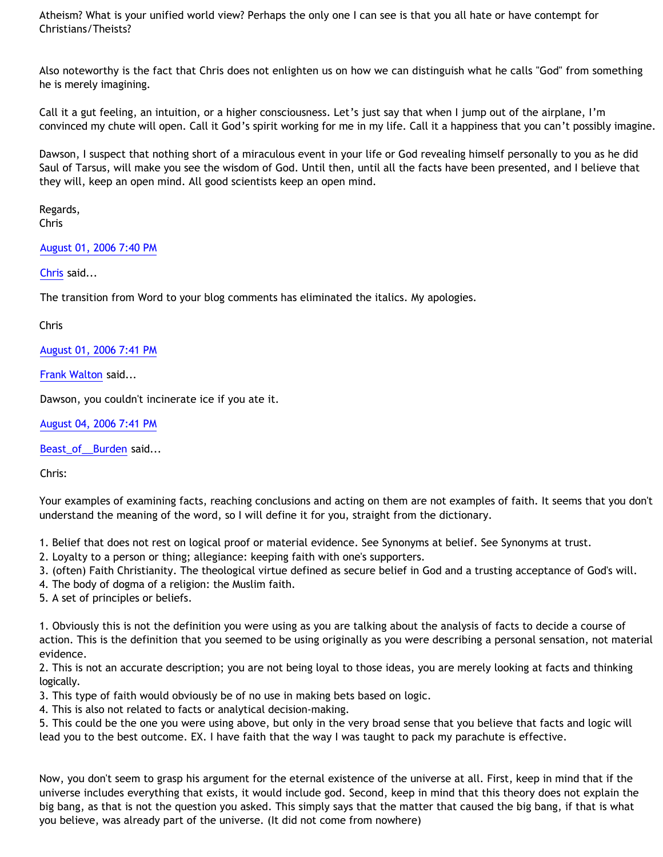Atheism? What is your unified world view? Perhaps the only one I can see is that you all hate or have contempt for Christians/Theists?

Also noteworthy is the fact that Chris does not enlighten us on how we can distinguish what he calls "God" from something he is merely imagining.

Call it a gut feeling, an intuition, or a higher consciousness. Let's just say that when I jump out of the airplane, I'm convinced my chute will open. Call it God's spirit working for me in my life. Call it a happiness that you can't possibly imagine.

Dawson, I suspect that nothing short of a miraculous event in your life or God revealing himself personally to you as he did Saul of Tarsus, will make you see the wisdom of God. Until then, until all the facts have been presented, and I believe that they will, keep an open mind. All good scientists keep an open mind.

Regards, Chris

# [August 01, 2006 7:40 PM](http://bahnsenburner.blogspot.com/2006/07/115448640416614409)

[Chris](http://www.blogger.com/profile/17796086) said...

The transition from Word to your blog comments has eliminated the italics. My apologies.

Chris

[August 01, 2006 7:41 PM](http://bahnsenburner.blogspot.com/2006/07/115448647023915303)

[Frank Walton](http://www.blogger.com/profile/10663796) said...

Dawson, you couldn't incinerate ice if you ate it.

[August 04, 2006 7:41 PM](http://bahnsenburner.blogspot.com/2006/07/115474568756227580)

[Beast\\_of\\_\\_Burden](http://www.blogger.com/profile/28854250) said...

Chris:

Your examples of examining facts, reaching conclusions and acting on them are not examples of faith. It seems that you don't understand the meaning of the word, so I will define it for you, straight from the dictionary.

1. Belief that does not rest on logical proof or material evidence. See Synonyms at belief. See Synonyms at trust.

- 2. Loyalty to a person or thing; allegiance: keeping faith with one's supporters.
- 3. (often) Faith Christianity. The theological virtue defined as secure belief in God and a trusting acceptance of God's will.
- 4. The body of dogma of a religion: the Muslim faith.
- 5. A set of principles or beliefs.

1. Obviously this is not the definition you were using as you are talking about the analysis of facts to decide a course of action. This is the definition that you seemed to be using originally as you were describing a personal sensation, not material evidence.

2. This is not an accurate description; you are not being loyal to those ideas, you are merely looking at facts and thinking logically.

3. This type of faith would obviously be of no use in making bets based on logic.

4. This is also not related to facts or analytical decision-making.

5. This could be the one you were using above, but only in the very broad sense that you believe that facts and logic will lead you to the best outcome. EX. I have faith that the way I was taught to pack my parachute is effective.

Now, you don't seem to grasp his argument for the eternal existence of the universe at all. First, keep in mind that if the universe includes everything that exists, it would include god. Second, keep in mind that this theory does not explain the big bang, as that is not the question you asked. This simply says that the matter that caused the big bang, if that is what you believe, was already part of the universe. (It did not come from nowhere)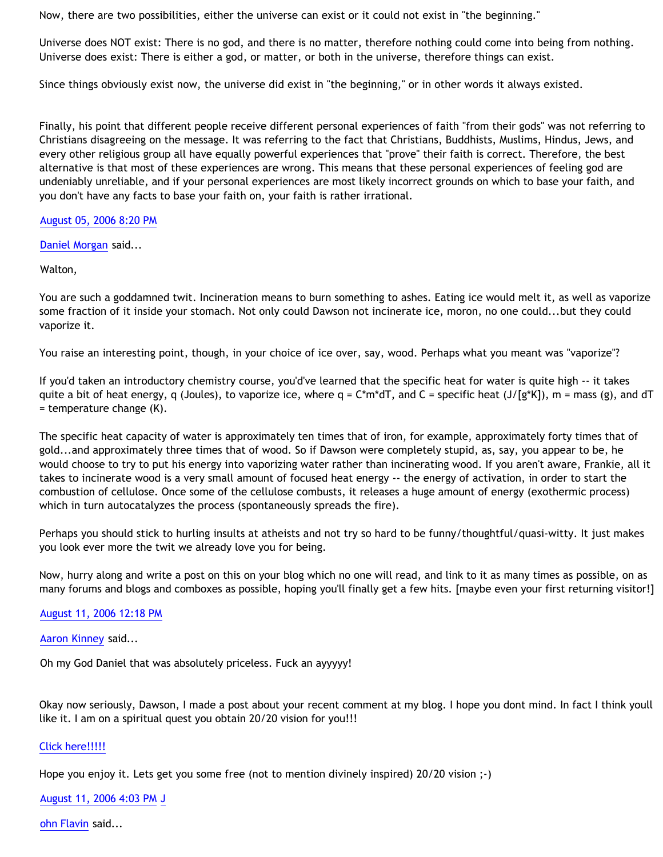Now, there are two possibilities, either the universe can exist or it could not exist in "the beginning."

Universe does NOT exist: There is no god, and there is no matter, therefore nothing could come into being from nothing. Universe does exist: There is either a god, or matter, or both in the universe, therefore things can exist.

Since things obviously exist now, the universe did exist in "the beginning," or in other words it always existed.

Finally, his point that different people receive different personal experiences of faith "from their gods" was not referring to Christians disagreeing on the message. It was referring to the fact that Christians, Buddhists, Muslims, Hindus, Jews, and every other religious group all have equally powerful experiences that "prove" their faith is correct. Therefore, the best alternative is that most of these experiences are wrong. This means that these personal experiences of feeling god are undeniably unreliable, and if your personal experiences are most likely incorrect grounds on which to base your faith, and you don't have any facts to base your faith on, your faith is rather irrational.

# [August 05, 2006 8:20 PM](http://bahnsenburner.blogspot.com/2006/07/115483443465754864)

[Daniel Morgan](http://www.blogger.com/profile/15150803) said...

Walton,

You are such a goddamned twit. Incineration means to burn something to ashes. Eating ice would melt it, as well as vaporize some fraction of it inside your stomach. Not only could Dawson not incinerate ice, moron, no one could...but they could vaporize it.

You raise an interesting point, though, in your choice of ice over, say, wood. Perhaps what you meant was "vaporize"?

If you'd taken an introductory chemistry course, you'd've learned that the specific heat for water is quite high -- it takes quite a bit of heat energy, q (Joules), to vaporize ice, where  $q = C^*m^*dT$ , and  $C =$  specific heat (J/[g\*K]), m = mass (g), and dT = temperature change (K).

The specific heat capacity of water is approximately ten times that of iron, for example, approximately forty times that of gold...and approximately three times that of wood. So if Dawson were completely stupid, as, say, you appear to be, he would choose to try to put his energy into vaporizing water rather than incinerating wood. If you aren't aware, Frankie, all it takes to incinerate wood is a very small amount of focused heat energy -- the energy of activation, in order to start the combustion of cellulose. Once some of the cellulose combusts, it releases a huge amount of energy (exothermic process) which in turn autocatalyzes the process (spontaneously spreads the fire).

Perhaps you should stick to hurling insults at atheists and not try so hard to be funny/thoughtful/quasi-witty. It just makes you look ever more the twit we already love you for being.

Now, hurry along and write a post on this on your blog which no one will read, and link to it as many times as possible, on as many forums and blogs and comboxes as possible, hoping you'll finally get a few hits. [maybe even your first returning visitor!]

[August 11, 2006 12:18 PM](http://bahnsenburner.blogspot.com/2006/07/115532392686154662)

[Aaron Kinney](http://www.blogger.com/profile/8138664) said...

Oh my God Daniel that was absolutely priceless. Fuck an ayyyyy!

Okay now seriously, Dawson, I made a post about your recent comment at my blog. I hope you dont mind. In fact I think youll like it. I am on a spiritual quest you obtain 20/20 vision for you!!!

# [Click here!!!!!](http://killtheafterlife.blogspot.com/2006/08/operation-pray-dawsons-way-to-2020.html)

Hope you enjoy it. Lets get you some free (not to mention divinely inspired) 20/20 vision ;-)

[August 11, 2006 4:03 PM](http://bahnsenburner.blogspot.com/2006/07/115533738073244353) [J](http://www.blogger.com/profile/29201249)

[ohn Flavin](http://www.blogger.com/profile/29201249) said...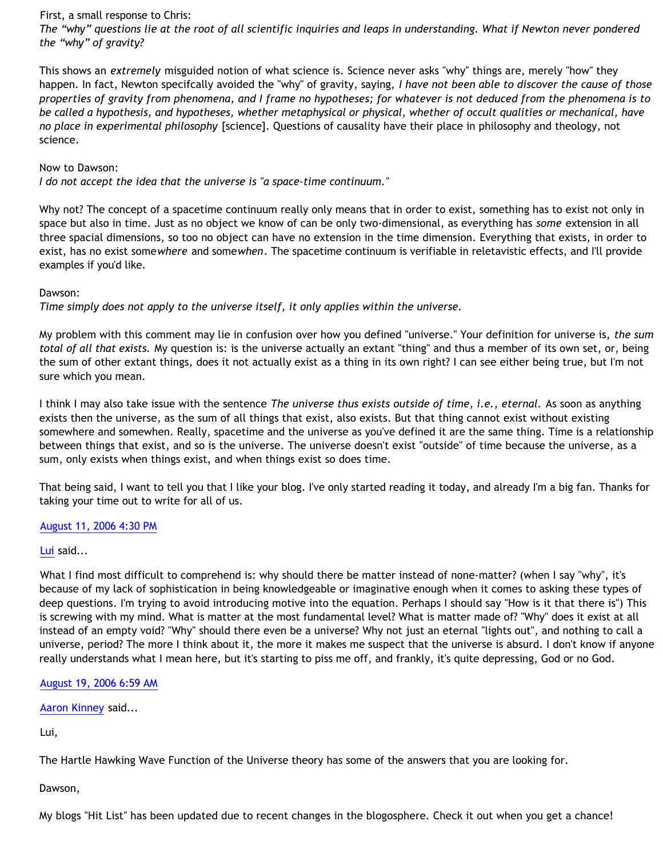### First, a small response to Chris:

*The "why" questions lie at the root of all scientific inquiries and leaps in understanding. What if Newton never pondered the "why" of gravity?*

This shows an *extremely* misguided notion of what science is. Science never asks "why" things are, merely "how" they happen. In fact, Newton specifcally avoided the "why" of gravity, saying, *I have not been able to discover the cause of those properties of gravity from phenomena, and I frame no hypotheses; for whatever is not deduced from the phenomena is to be called a hypothesis, and hypotheses, whether metaphysical or physical, whether of occult qualities or mechanical, have no place in experimental philosophy* [science]. Questions of causality have their place in philosophy and theology, not science.

### Now to Dawson:

*I do not accept the idea that the universe is "a space-time continuum."* 

Why not? The concept of a spacetime continuum really only means that in order to exist, something has to exist not only in space but also in time. Just as no object we know of can be only two-dimensional, as everything has *some* extension in all three spacial dimensions, so too no object can have no extension in the time dimension. Everything that exists, in order to exist, has no exist some*where* and some*when*. The spacetime continuum is verifiable in reletavistic effects, and I'll provide examples if you'd like.

# Dawson:

*Time simply does not apply to the universe itself, it only applies within the universe.*

My problem with this comment may lie in confusion over how you defined "universe." Your definition for universe is, *the sum total of all that exists.* My question is: is the universe actually an extant "thing" and thus a member of its own set, or, being the sum of other extant things, does it not actually exist as a thing in its own right? I can see either being true, but I'm not sure which you mean.

I think I may also take issue with the sentence *The universe thus exists outside of time, i.e., eternal.* As soon as anything exists then the universe, as the sum of all things that exist, also exists. But that thing cannot exist without existing somewhere and somewhen. Really, spacetime and the universe as you've defined it are the same thing. Time is a relationship between things that exist, and so is the universe. The universe doesn't exist "outside" of time because the universe, as a sum, only exists when things exist, and when things exist so does time.

That being said, I want to tell you that I like your blog. I've only started reading it today, and already I'm a big fan. Thanks for taking your time out to write for all of us.

# [August 11, 2006 4:30 PM](http://bahnsenburner.blogspot.com/2006/07/115533904144466111)

# [Lui](http://www.blogger.com/profile/10714493) said...

What I find most difficult to comprehend is: why should there be matter instead of none-matter? (when I say "why", it's because of my lack of sophistication in being knowledgeable or imaginative enough when it comes to asking these types of deep questions. I'm trying to avoid introducing motive into the equation. Perhaps I should say "How is it that there is") This is screwing with my mind. What is matter at the most fundamental level? What is matter made of? "Why" does it exist at all instead of an empty void? "Why" should there even be a universe? Why not just an eternal "lights out", and nothing to call a universe, period? The more I think about it, the more it makes me suspect that the universe is absurd. I don't know if anyone really understands what I mean here, but it's starting to piss me off, and frankly, it's quite depressing, God or no God.

[August 19, 2006 6:59 AM](http://bahnsenburner.blogspot.com/2006/07/115599599436098567)

[Aaron Kinney](http://www.blogger.com/profile/8138664) said...

Lui,

The Hartle Hawking Wave Function of the Universe theory has some of the answers that you are looking for.

Dawson,

My blogs "Hit List" has been updated due to recent changes in the blogosphere. Check it out when you get a chance!